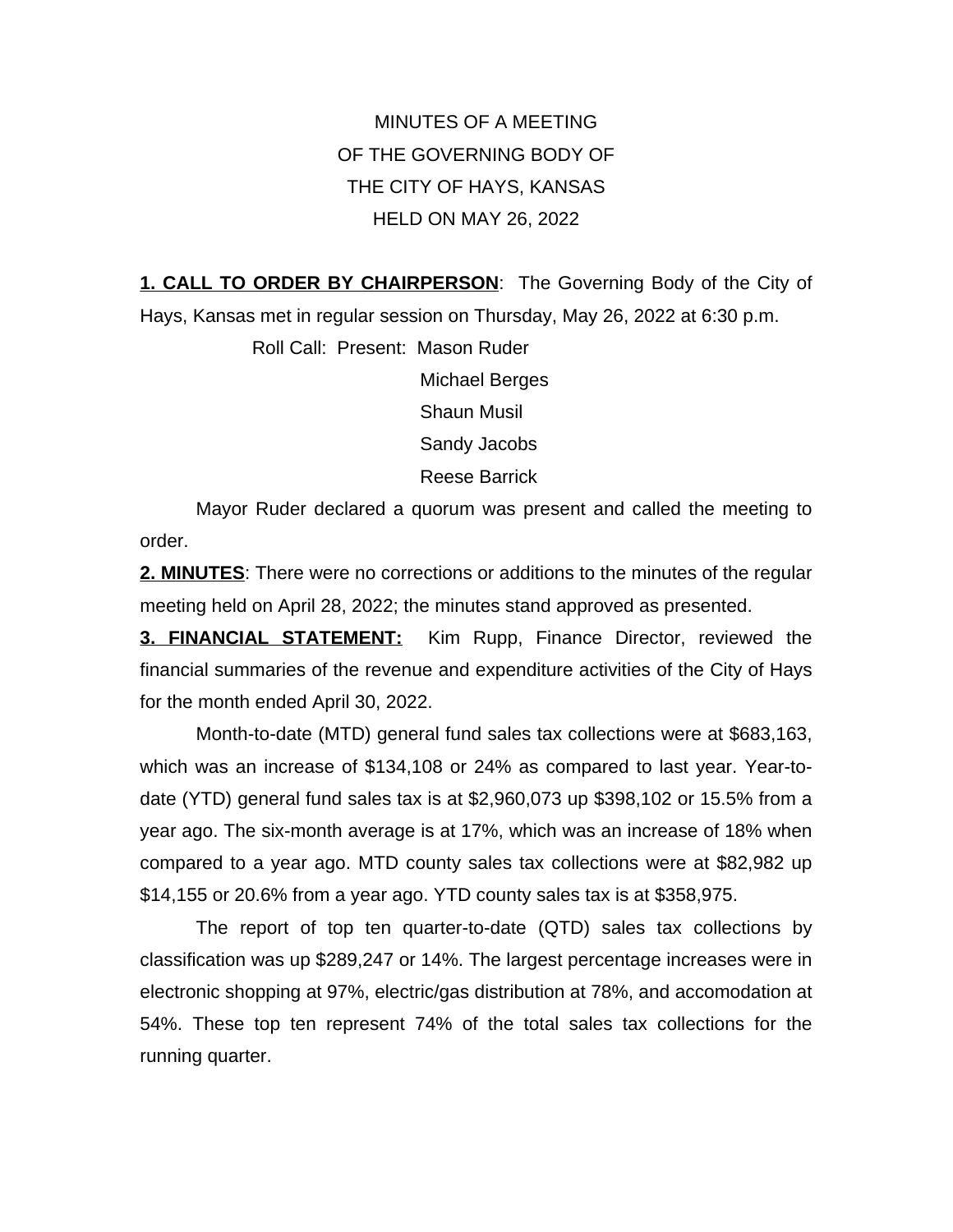MINUTES OF A MEETING OF THE GOVERNING BODY OF THE CITY OF HAYS, KANSAS HELD ON MAY 26, 2022

**1. CALL TO ORDER BY CHAIRPERSON**: The Governing Body of the City of Hays, Kansas met in regular session on Thursday, May 26, 2022 at 6:30 p.m.

> Roll Call: Present: Mason Ruder Michael Berges Shaun Musil Sandy Jacobs Reese Barrick

Mayor Ruder declared a quorum was present and called the meeting to order.

**2. MINUTES**: There were no corrections or additions to the minutes of the regular meeting held on April 28, 2022; the minutes stand approved as presented.

**3. FINANCIAL STATEMENT:** Kim Rupp, Finance Director, reviewed the financial summaries of the revenue and expenditure activities of the City of Hays for the month ended April 30, 2022.

Month-to-date (MTD) general fund sales tax collections were at \$683,163, which was an increase of \$134,108 or 24% as compared to last year. Year-todate (YTD) general fund sales tax is at \$2,960,073 up \$398,102 or 15.5% from a year ago. The six-month average is at 17%, which was an increase of 18% when compared to a year ago. MTD county sales tax collections were at \$82,982 up \$14,155 or 20.6% from a year ago. YTD county sales tax is at \$358,975.

The report of top ten quarter-to-date (QTD) sales tax collections by classification was up \$289,247 or 14%. The largest percentage increases were in electronic shopping at 97%, electric/gas distribution at 78%, and accomodation at 54%. These top ten represent 74% of the total sales tax collections for the running quarter.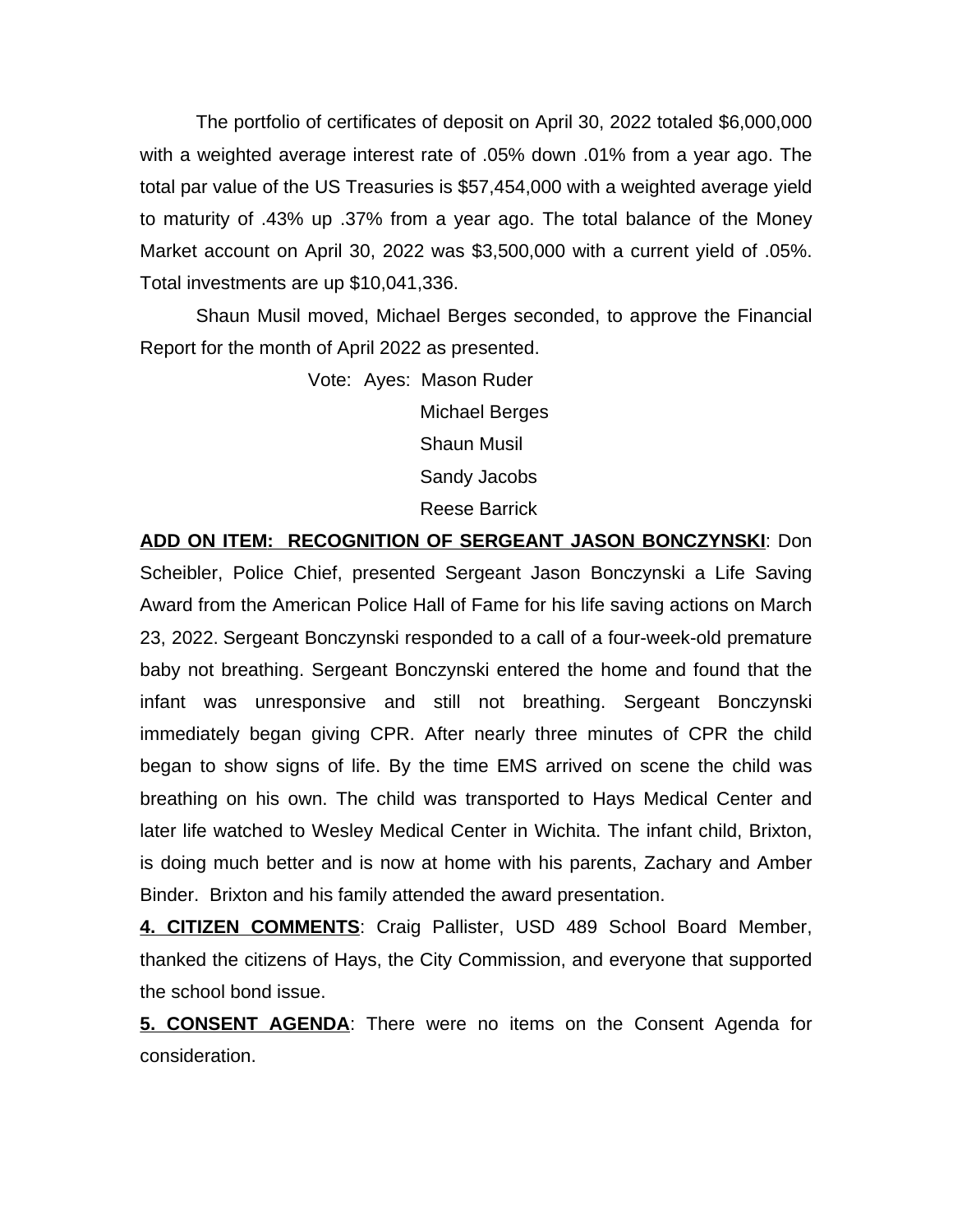The portfolio of certificates of deposit on April 30, 2022 totaled \$6,000,000 with a weighted average interest rate of .05% down .01% from a year ago. The total par value of the US Treasuries is \$57,454,000 with a weighted average yield to maturity of .43% up .37% from a year ago. The total balance of the Money Market account on April 30, 2022 was \$3,500,000 with a current yield of .05%. Total investments are up \$10,041,336.

Shaun Musil moved, Michael Berges seconded, to approve the Financial Report for the month of April 2022 as presented.

> Vote: Ayes: Mason Ruder Michael Berges Shaun Musil Sandy Jacobs Reese Barrick

**ADD ON ITEM: RECOGNITION OF SERGEANT JASON BONCZYNSKI**: Don Scheibler, Police Chief, presented Sergeant Jason Bonczynski a Life Saving Award from the American Police Hall of Fame for his life saving actions on March 23, 2022. Sergeant Bonczynski responded to a call of a four-week-old premature baby not breathing. Sergeant Bonczynski entered the home and found that the infant was unresponsive and still not breathing. Sergeant Bonczynski immediately began giving CPR. After nearly three minutes of CPR the child began to show signs of life. By the time EMS arrived on scene the child was breathing on his own. The child was transported to Hays Medical Center and later life watched to Wesley Medical Center in Wichita. The infant child, Brixton, is doing much better and is now at home with his parents, Zachary and Amber Binder. Brixton and his family attended the award presentation.

**4. CITIZEN COMMENTS**: Craig Pallister, USD 489 School Board Member, thanked the citizens of Hays, the City Commission, and everyone that supported the school bond issue.

**5. CONSENT AGENDA**: There were no items on the Consent Agenda for consideration.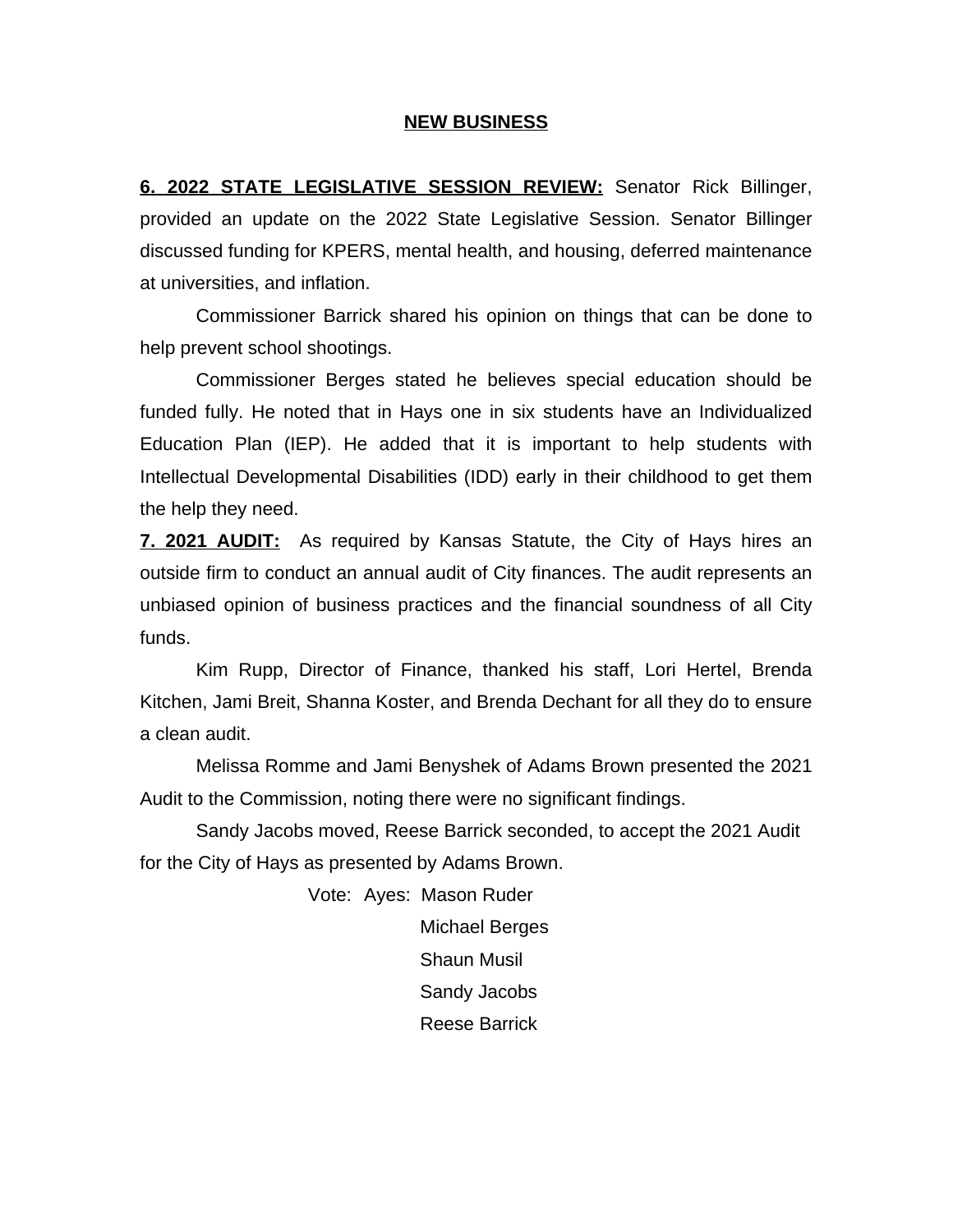## **NEW BUSINESS**

**6. 2022 STATE LEGISLATIVE SESSION REVIEW:** Senator Rick Billinger, provided an update on the 2022 State Legislative Session. Senator Billinger discussed funding for KPERS, mental health, and housing, deferred maintenance at universities, and inflation.

Commissioner Barrick shared his opinion on things that can be done to help prevent school shootings.

Commissioner Berges stated he believes special education should be funded fully. He noted that in Hays one in six students have an Individualized Education Plan (IEP). He added that it is important to help students with Intellectual Developmental Disabilities (IDD) early in their childhood to get them the help they need.

**7. 2021 AUDIT:** As required by Kansas Statute, the City of Hays hires an outside firm to conduct an annual audit of City finances. The audit represents an unbiased opinion of business practices and the financial soundness of all City funds.

Kim Rupp, Director of Finance, thanked his staff, Lori Hertel, Brenda Kitchen, Jami Breit, Shanna Koster, and Brenda Dechant for all they do to ensure a clean audit.

Melissa Romme and Jami Benyshek of Adams Brown presented the 2021 Audit to the Commission, noting there were no significant findings.

Sandy Jacobs moved, Reese Barrick seconded, to accept the 2021 Audit for the City of Hays as presented by Adams Brown.

> Vote: Ayes: Mason Ruder Michael Berges Shaun Musil Sandy Jacobs Reese Barrick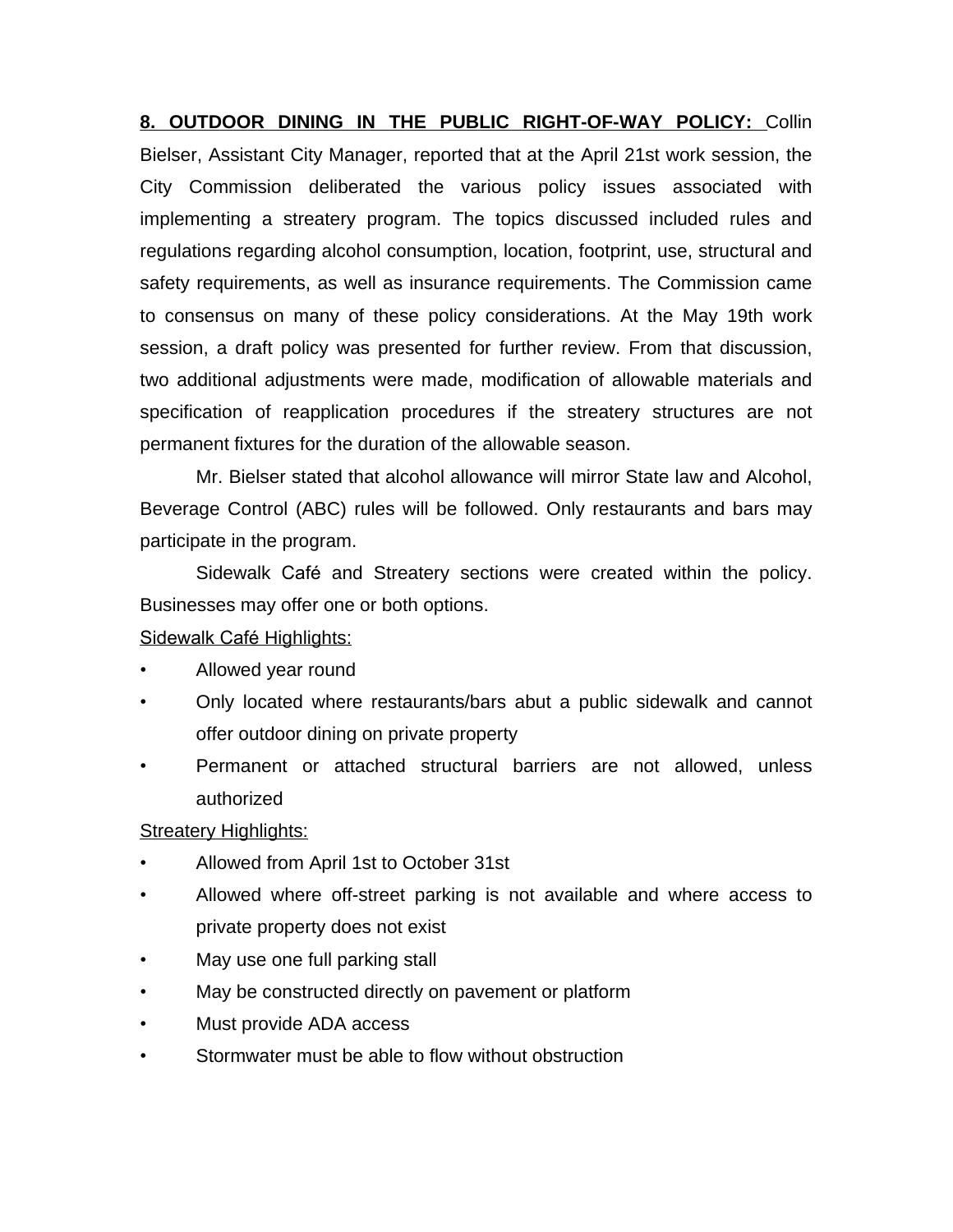**8. OUTDOOR DINING IN THE PUBLIC RIGHT-OF-WAY POLICY:** Collin Bielser, Assistant City Manager, reported that at the April 21st work session, the City Commission deliberated the various policy issues associated with implementing a streatery program. The topics discussed included rules and regulations regarding alcohol consumption, location, footprint, use, structural and safety requirements, as well as insurance requirements. The Commission came to consensus on many of these policy considerations. At the May 19th work session, a draft policy was presented for further review. From that discussion, two additional adjustments were made, modification of allowable materials and specification of reapplication procedures if the streatery structures are not permanent fixtures for the duration of the allowable season.

Mr. Bielser stated that alcohol allowance will mirror State law and Alcohol, Beverage Control (ABC) rules will be followed. Only restaurants and bars may participate in the program.

Sidewalk Café and Streatery sections were created within the policy. Businesses may offer one or both options.

## Sidewalk Café Highlights:

- Allowed year round
- Only located where restaurants/bars abut a public sidewalk and cannot offer outdoor dining on private property
- Permanent or attached structural barriers are not allowed, unless authorized

**Streatery Highlights:** 

- Allowed from April 1st to October 31st
- Allowed where off-street parking is not available and where access to private property does not exist
- May use one full parking stall
- May be constructed directly on pavement or platform
- Must provide ADA access
- Stormwater must be able to flow without obstruction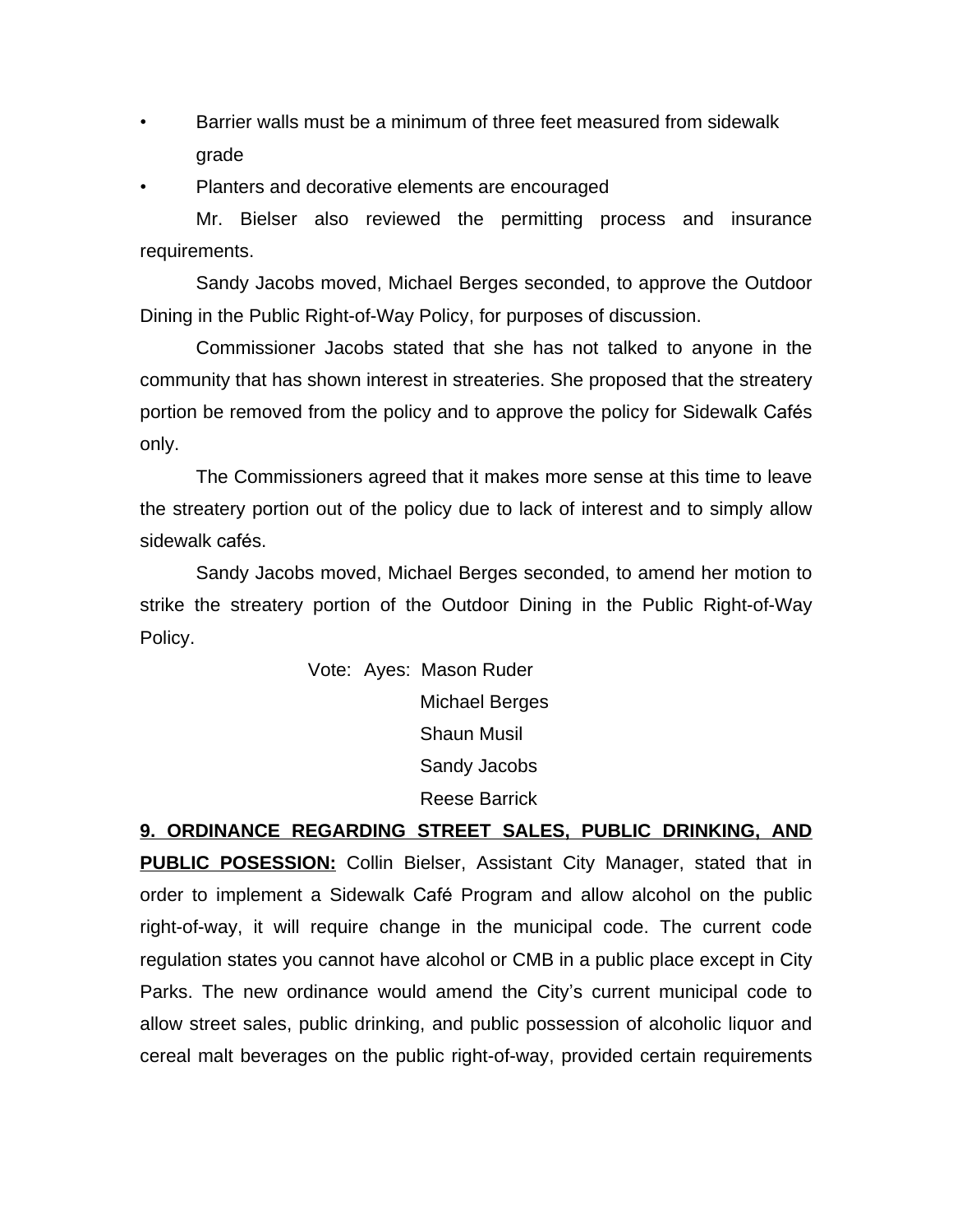• Barrier walls must be a minimum of three feet measured from sidewalk grade

• Planters and decorative elements are encouraged

Mr. Bielser also reviewed the permitting process and insurance requirements.

Sandy Jacobs moved, Michael Berges seconded, to approve the Outdoor Dining in the Public Right-of-Way Policy, for purposes of discussion.

Commissioner Jacobs stated that she has not talked to anyone in the community that has shown interest in streateries. She proposed that the streatery portion be removed from the policy and to approve the policy for Sidewalk Cafés only.

The Commissioners agreed that it makes more sense at this time to leave the streatery portion out of the policy due to lack of interest and to simply allow sidewalk cafés.

Sandy Jacobs moved, Michael Berges seconded, to amend her motion to strike the streatery portion of the Outdoor Dining in the Public Right-of-Way Policy.

> Vote: Ayes: Mason Ruder Michael Berges Shaun Musil Sandy Jacobs Reese Barrick

**9. ORDINANCE REGARDING STREET SALES, PUBLIC DRINKING, AND PUBLIC POSESSION:** Collin Bielser, Assistant City Manager, stated that in order to implement a Sidewalk Café Program and allow alcohol on the public right-of-way, it will require change in the municipal code. The current code regulation states you cannot have alcohol or CMB in a public place except in City Parks. The new ordinance would amend the City's current municipal code to allow street sales, public drinking, and public possession of alcoholic liquor and cereal malt beverages on the public right-of-way, provided certain requirements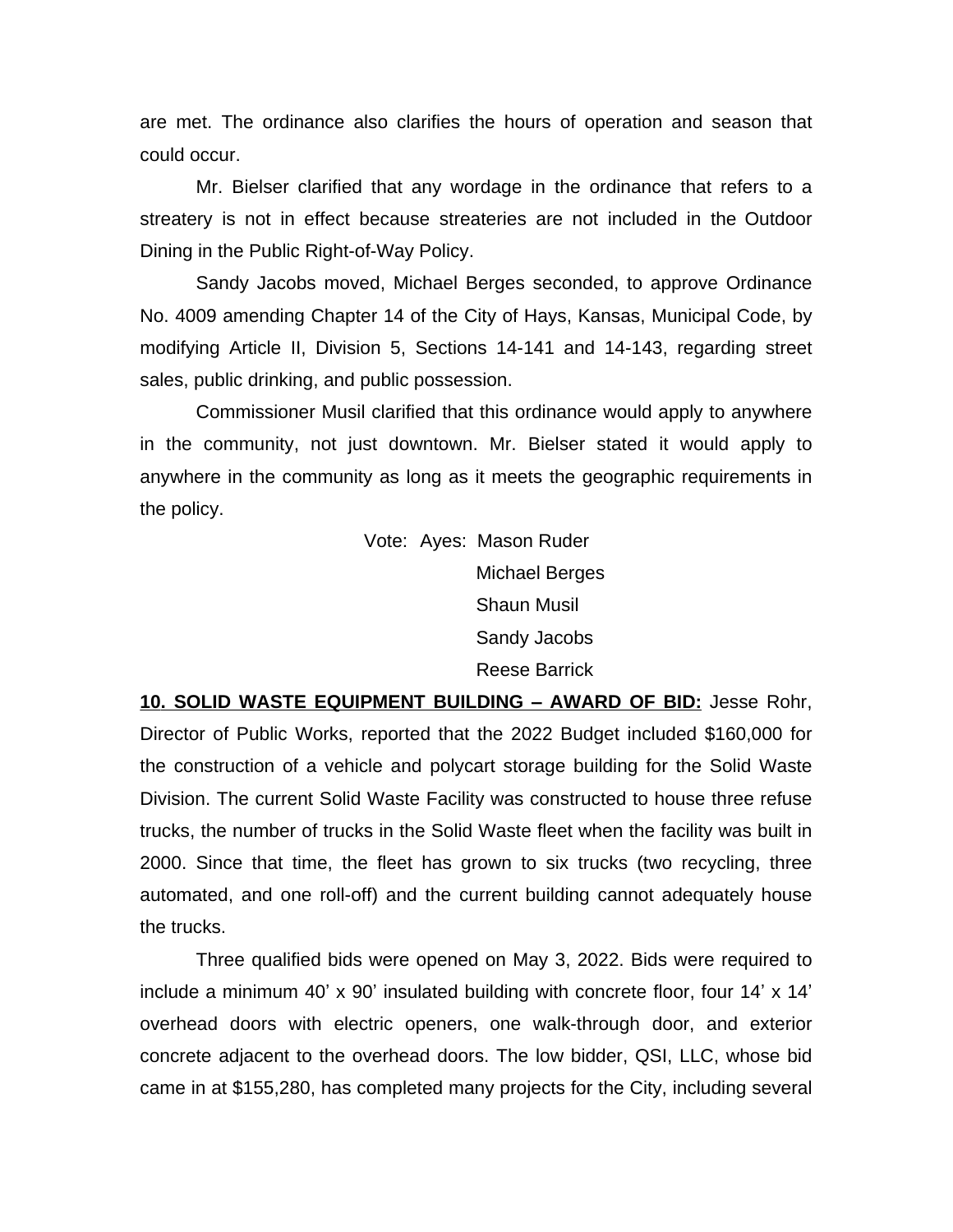are met. The ordinance also clarifies the hours of operation and season that could occur.

Mr. Bielser clarified that any wordage in the ordinance that refers to a streatery is not in effect because streateries are not included in the Outdoor Dining in the Public Right-of-Way Policy.

Sandy Jacobs moved, Michael Berges seconded, to approve Ordinance No. 4009 amending Chapter 14 of the City of Hays, Kansas, Municipal Code, by modifying Article II, Division 5, Sections 14-141 and 14-143, regarding street sales, public drinking, and public possession.

Commissioner Musil clarified that this ordinance would apply to anywhere in the community, not just downtown. Mr. Bielser stated it would apply to anywhere in the community as long as it meets the geographic requirements in the policy.

> Vote: Ayes: Mason Ruder Michael Berges Shaun Musil Sandy Jacobs Reese Barrick

**10. SOLID WASTE EQUIPMENT BUILDING – AWARD OF BID:** Jesse Rohr, Director of Public Works, reported that the 2022 Budget included \$160,000 for the construction of a vehicle and polycart storage building for the Solid Waste Division. The current Solid Waste Facility was constructed to house three refuse trucks, the number of trucks in the Solid Waste fleet when the facility was built in 2000. Since that time, the fleet has grown to six trucks (two recycling, three automated, and one roll-off) and the current building cannot adequately house the trucks.

Three qualified bids were opened on May 3, 2022. Bids were required to include a minimum 40' x 90' insulated building with concrete floor, four 14' x 14' overhead doors with electric openers, one walk-through door, and exterior concrete adjacent to the overhead doors. The low bidder, QSI, LLC, whose bid came in at \$155,280, has completed many projects for the City, including several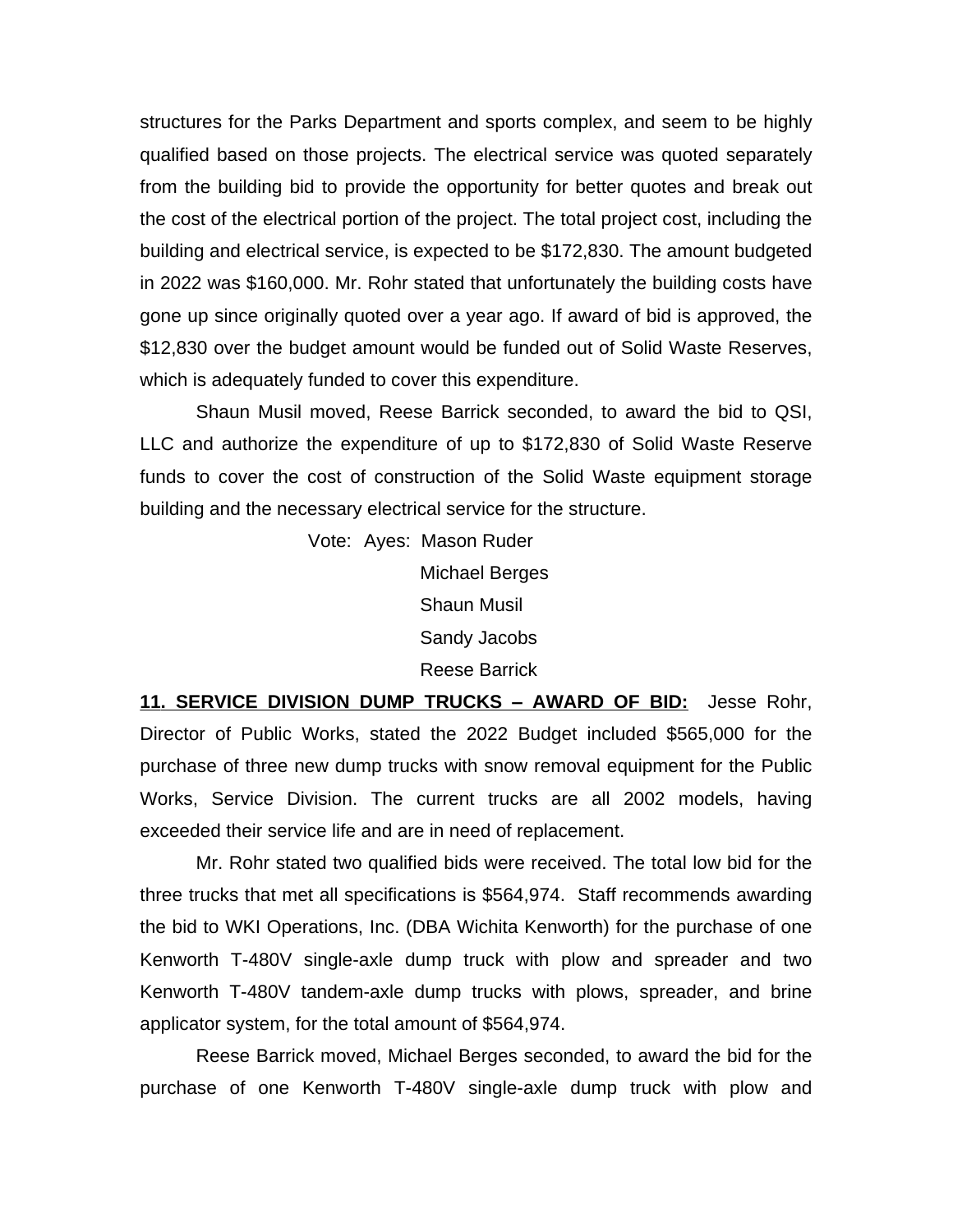structures for the Parks Department and sports complex, and seem to be highly qualified based on those projects. The electrical service was quoted separately from the building bid to provide the opportunity for better quotes and break out the cost of the electrical portion of the project. The total project cost, including the building and electrical service, is expected to be \$172,830. The amount budgeted in 2022 was \$160,000. Mr. Rohr stated that unfortunately the building costs have gone up since originally quoted over a year ago. If award of bid is approved, the \$12,830 over the budget amount would be funded out of Solid Waste Reserves, which is adequately funded to cover this expenditure.

Shaun Musil moved, Reese Barrick seconded, to award the bid to QSI, LLC and authorize the expenditure of up to \$172,830 of Solid Waste Reserve funds to cover the cost of construction of the Solid Waste equipment storage building and the necessary electrical service for the structure.

> Vote: Ayes: Mason Ruder Michael Berges Shaun Musil Sandy Jacobs Reese Barrick

**11. SERVICE DIVISION DUMP TRUCKS – AWARD OF BID:** Jesse Rohr, Director of Public Works, stated the 2022 Budget included \$565,000 for the purchase of three new dump trucks with snow removal equipment for the Public Works, Service Division. The current trucks are all 2002 models, having exceeded their service life and are in need of replacement.

Mr. Rohr stated two qualified bids were received. The total low bid for the three trucks that met all specifications is \$564,974. Staff recommends awarding the bid to WKI Operations, Inc. (DBA Wichita Kenworth) for the purchase of one Kenworth T-480V single-axle dump truck with plow and spreader and two Kenworth T-480V tandem-axle dump trucks with plows, spreader, and brine applicator system, for the total amount of \$564,974.

Reese Barrick moved, Michael Berges seconded, to award the bid for the purchase of one Kenworth T-480V single-axle dump truck with plow and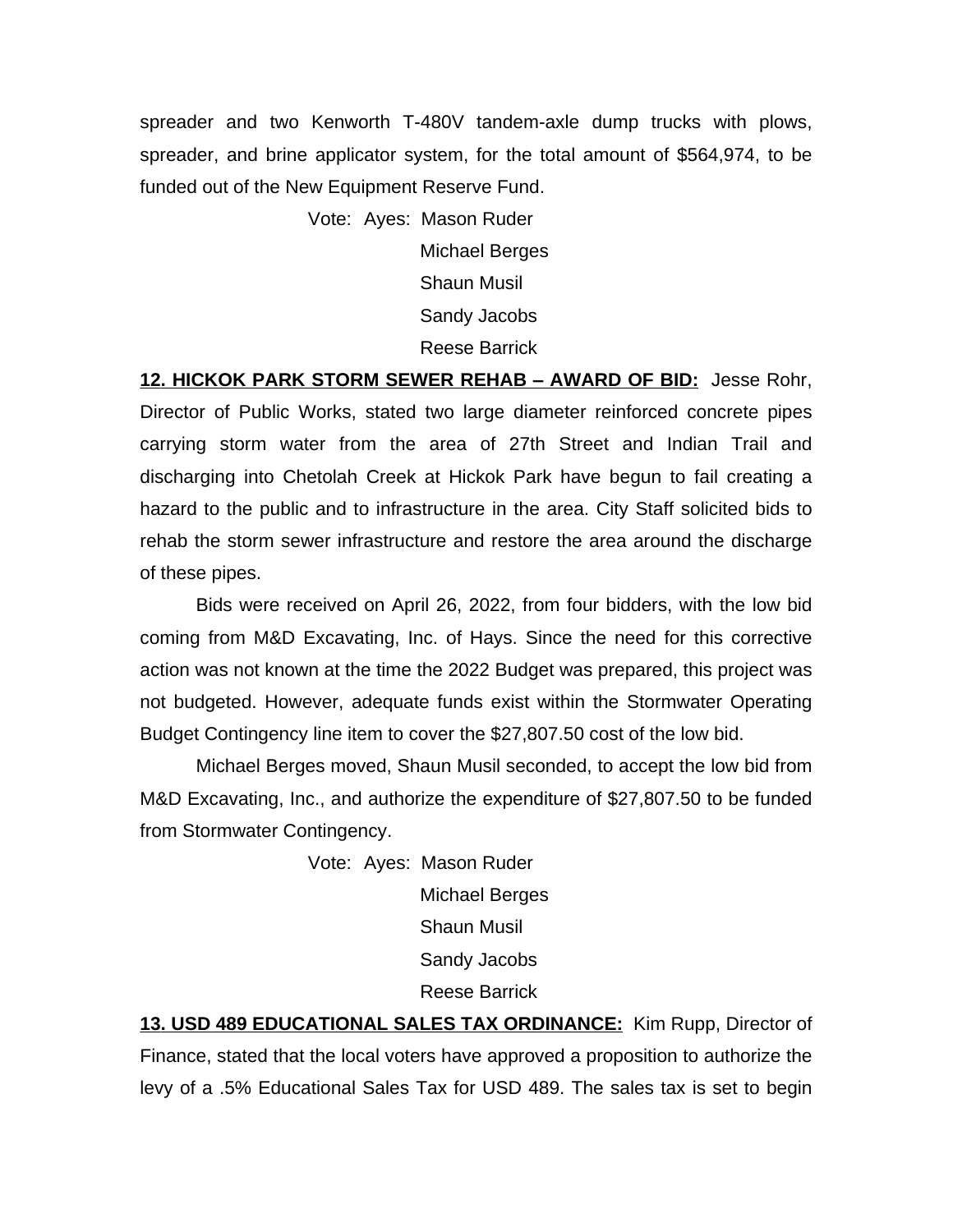spreader and two Kenworth T-480V tandem-axle dump trucks with plows, spreader, and brine applicator system, for the total amount of \$564,974, to be funded out of the New Equipment Reserve Fund.

> Vote: Ayes: Mason Ruder Michael Berges Shaun Musil Sandy Jacobs Reese Barrick

**12. HICKOK PARK STORM SEWER REHAB – AWARD OF BID:** Jesse Rohr, Director of Public Works, stated two large diameter reinforced concrete pipes carrying storm water from the area of 27th Street and Indian Trail and discharging into Chetolah Creek at Hickok Park have begun to fail creating a hazard to the public and to infrastructure in the area. City Staff solicited bids to rehab the storm sewer infrastructure and restore the area around the discharge of these pipes.

Bids were received on April 26, 2022, from four bidders, with the low bid coming from M&D Excavating, Inc. of Hays. Since the need for this corrective action was not known at the time the 2022 Budget was prepared, this project was not budgeted. However, adequate funds exist within the Stormwater Operating Budget Contingency line item to cover the \$27,807.50 cost of the low bid.

Michael Berges moved, Shaun Musil seconded, to accept the low bid from M&D Excavating, Inc., and authorize the expenditure of \$27,807.50 to be funded from Stormwater Contingency.

> Vote: Ayes: Mason Ruder Michael Berges Shaun Musil Sandy Jacobs Reese Barrick

**13. USD 489 EDUCATIONAL SALES TAX ORDINANCE:** Kim Rupp, Director of Finance, stated that the local voters have approved a proposition to authorize the levy of a .5% Educational Sales Tax for USD 489. The sales tax is set to begin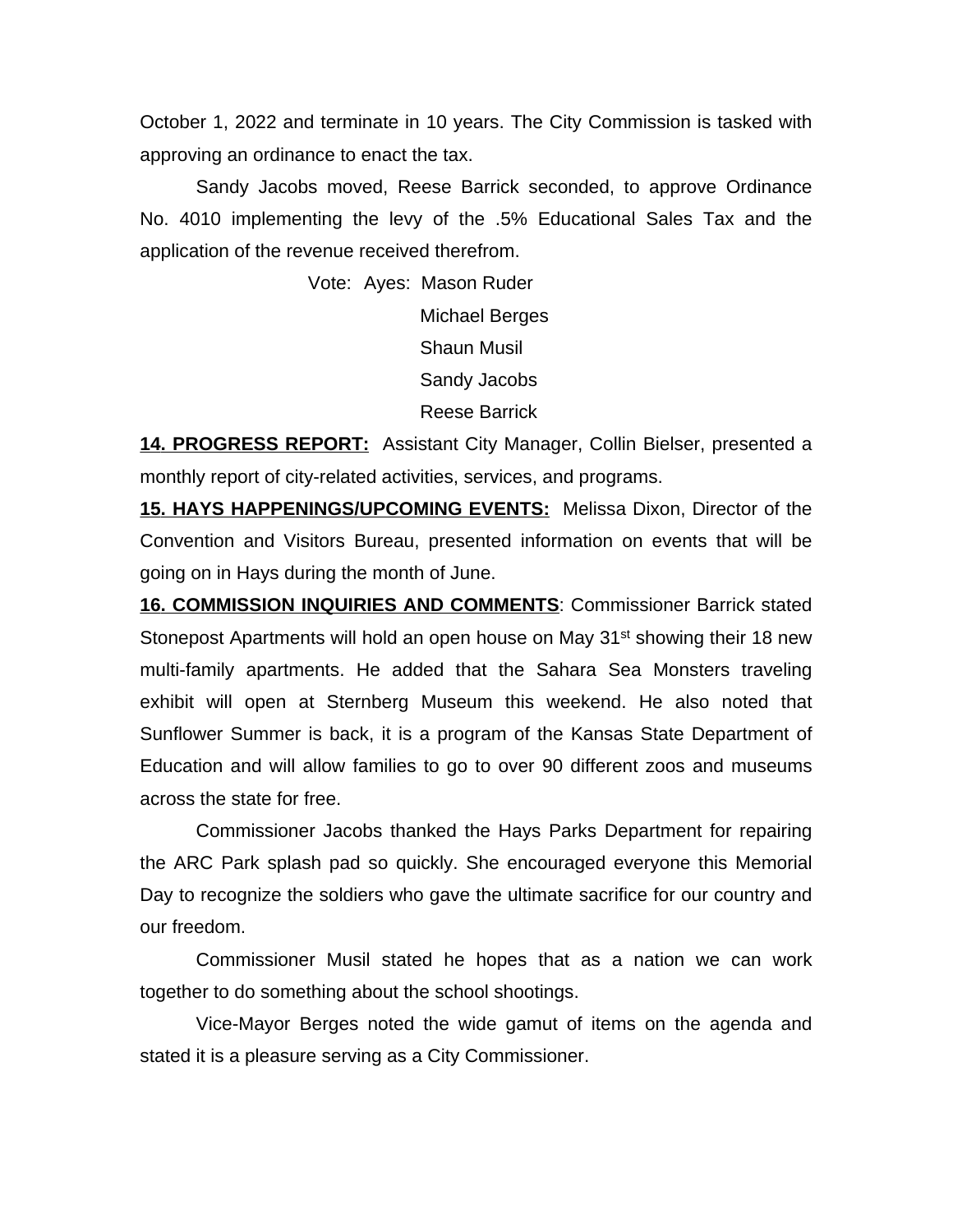October 1, 2022 and terminate in 10 years. The City Commission is tasked with approving an ordinance to enact the tax.

Sandy Jacobs moved, Reese Barrick seconded, to approve Ordinance No. 4010 implementing the levy of the .5% Educational Sales Tax and the application of the revenue received therefrom.

> Vote: Ayes: Mason Ruder Michael Berges Shaun Musil Sandy Jacobs Reese Barrick

**14. PROGRESS REPORT:** Assistant City Manager, Collin Bielser, presented a monthly report of city-related activities, services, and programs.

**15. HAYS HAPPENINGS/UPCOMING EVENTS:** Melissa Dixon, Director of the Convention and Visitors Bureau, presented information on events that will be going on in Hays during the month of June.

**16. COMMISSION INQUIRIES AND COMMENTS**: Commissioner Barrick stated Stonepost Apartments will hold an open house on May 31<sup>st</sup> showing their 18 new multi-family apartments. He added that the Sahara Sea Monsters traveling exhibit will open at Sternberg Museum this weekend. He also noted that Sunflower Summer is back, it is a program of the Kansas State Department of Education and will allow families to go to over 90 different zoos and museums across the state for free.

Commissioner Jacobs thanked the Hays Parks Department for repairing the ARC Park splash pad so quickly. She encouraged everyone this Memorial Day to recognize the soldiers who gave the ultimate sacrifice for our country and our freedom.

Commissioner Musil stated he hopes that as a nation we can work together to do something about the school shootings.

Vice-Mayor Berges noted the wide gamut of items on the agenda and stated it is a pleasure serving as a City Commissioner.